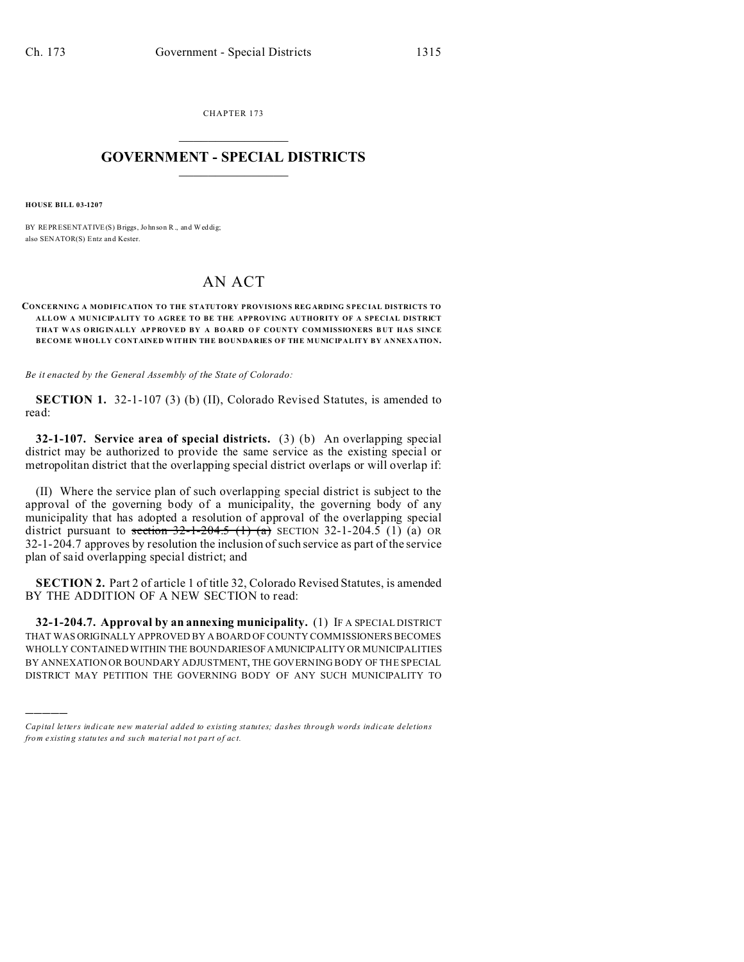CHAPTER 173  $\overline{\phantom{a}}$  , where  $\overline{\phantom{a}}$ 

## **GOVERNMENT - SPECIAL DISTRICTS**  $\_$   $\_$   $\_$   $\_$   $\_$   $\_$   $\_$   $\_$   $\_$

**HOUSE BILL 03-1207**

)))))

BY REPRESENTATIVE(S) Briggs, John son R., and Weddig; also SENATOR(S) Entz and Kester.

## AN ACT

## **CONCERNING A MODIFICATION TO THE STATUTORY PROVISIONS REGARDING SPEC IAL DISTRICTS TO ALLOW A MUNICIPALITY TO AGREE TO BE THE APPROVING AUTHORITY OF A SPECIAL DISTRICT THAT WAS ORIG IN AL LY APPRO VE D BY A BOARD O F COUNTY COM MISSIONERS B UT HAS SINCE BECOME WHOLLY CONTAINED WITHIN THE BOUNDARIES OF THE MUNICIPALITY BY ANNEXATION.**

*Be it enacted by the General Assembly of the State of Colorado:*

**SECTION 1.** 32-1-107 (3) (b) (II), Colorado Revised Statutes, is amended to read:

**32-1-107. Service area of special districts.** (3) (b) An overlapping special district may be authorized to provide the same service as the existing special or metropolitan district that the overlapping special district overlaps or will overlap if:

(II) Where the service plan of such overlapping special district is subject to the approval of the governing body of a municipality, the governing body of any municipality that has adopted a resolution of approval of the overlapping special district pursuant to section  $32-1-204.5$  (1) (a)  $(1)$  (a) OR 32-1-204.7 approves by resolution the inclusion of such service as part of the service plan of said overlapping special district; and

**SECTION 2.** Part 2 of article 1 of title 32, Colorado Revised Statutes, is amended BY THE ADDITION OF A NEW SECTION to read:

**32-1-204.7. Approval by an annexing municipality.** (1) IF A SPECIAL DISTRICT THAT WAS ORIGINALLY APPROVED BY A BOARD OF COUNTY COMMISSIONERS BECOMES WHOLLY CONTAINED WITHIN THE BOUNDARIESOFAMUNICIPALITY OR MUNICIPALITIES BY ANNEXATION OR BOUNDARY ADJUSTMENT, THE GOVERNING BODY OF THE SPECIAL DISTRICT MAY PETITION THE GOVERNING BODY OF ANY SUCH MUNICIPALITY TO

*Capital letters indicate new material added to existing statutes; dashes through words indicate deletions from e xistin g statu tes a nd such ma teria l no t pa rt of ac t.*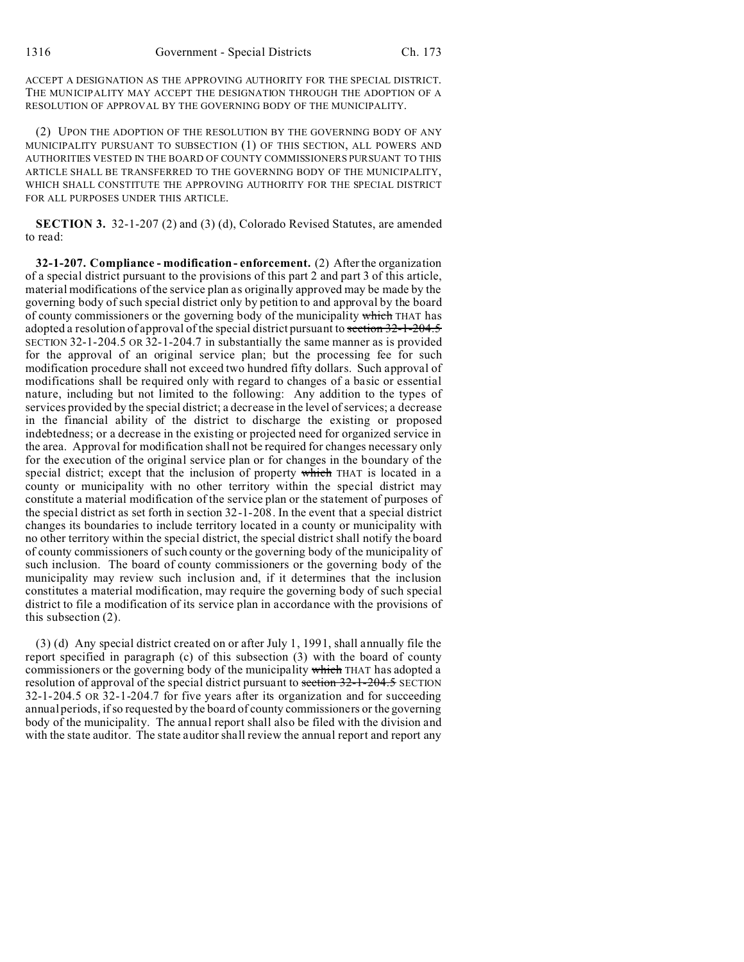ACCEPT A DESIGNATION AS THE APPROVING AUTHORITY FOR THE SPECIAL DISTRICT. THE MUNICIPALITY MAY ACCEPT THE DESIGNATION THROUGH THE ADOPTION OF A RESOLUTION OF APPROVAL BY THE GOVERNING BODY OF THE MUNICIPALITY.

(2) UPON THE ADOPTION OF THE RESOLUTION BY THE GOVERNING BODY OF ANY MUNICIPALITY PURSUANT TO SUBSECTION (1) OF THIS SECTION, ALL POWERS AND AUTHORITIES VESTED IN THE BOARD OF COUNTY COMMISSIONERS PURSUANT TO THIS ARTICLE SHALL BE TRANSFERRED TO THE GOVERNING BODY OF THE MUNICIPALITY, WHICH SHALL CONSTITUTE THE APPROVING AUTHORITY FOR THE SPECIAL DISTRICT FOR ALL PURPOSES UNDER THIS ARTICLE.

**SECTION 3.** 32-1-207 (2) and (3) (d), Colorado Revised Statutes, are amended to read:

**32-1-207. Compliance - modification - enforcement.** (2) After the organization of a special district pursuant to the provisions of this part 2 and part 3 of this article, material modifications of the service plan as originally approved may be made by the governing body of such special district only by petition to and approval by the board of county commissioners or the governing body of the municipality which THAT has adopted a resolution of approval of the special district pursuant to section 32-1-204.5 SECTION 32-1-204.5 OR 32-1-204.7 in substantially the same manner as is provided for the approval of an original service plan; but the processing fee for such modification procedure shall not exceed two hundred fifty dollars. Such approval of modifications shall be required only with regard to changes of a basic or essential nature, including but not limited to the following: Any addition to the types of services provided by the special district; a decrease in the level of services; a decrease in the financial ability of the district to discharge the existing or proposed indebtedness; or a decrease in the existing or projected need for organized service in the area. Approval for modification shall not be required for changes necessary only for the execution of the original service plan or for changes in the boundary of the special district; except that the inclusion of property which THAT is located in a county or municipality with no other territory within the special district may constitute a material modification of the service plan or the statement of purposes of the special district as set forth in section 32-1-208. In the event that a special district changes its boundaries to include territory located in a county or municipality with no other territory within the special district, the special district shall notify the board of county commissioners of such county or the governing body of the municipality of such inclusion. The board of county commissioners or the governing body of the municipality may review such inclusion and, if it determines that the inclusion constitutes a material modification, may require the governing body of such special district to file a modification of its service plan in accordance with the provisions of this subsection (2).

(3) (d) Any special district created on or after July 1, 1991, shall annually file the report specified in paragraph (c) of this subsection (3) with the board of county commissioners or the governing body of the municipality which THAT has adopted a resolution of approval of the special district pursuant to section 32-1-204.5 SECTION 32-1-204.5 OR 32-1-204.7 for five years after its organization and for succeeding annual periods, if so requested by the board of county commissioners or the governing body of the municipality. The annual report shall also be filed with the division and with the state auditor. The state auditor shall review the annual report and report any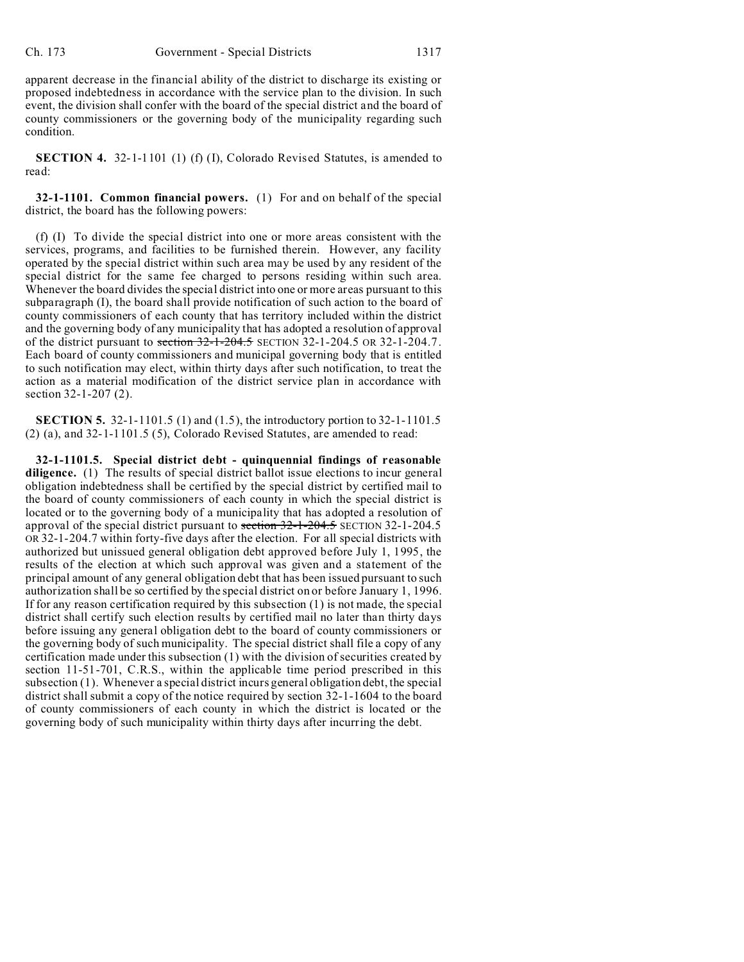apparent decrease in the financial ability of the district to discharge its existing or proposed indebtedness in accordance with the service plan to the division. In such event, the division shall confer with the board of the special district and the board of county commissioners or the governing body of the municipality regarding such condition.

**SECTION 4.** 32-1-1101 (1) (f) (I), Colorado Revised Statutes, is amended to read:

**32-1-1101. Common financial powers.** (1) For and on behalf of the special district, the board has the following powers:

(f) (I) To divide the special district into one or more areas consistent with the services, programs, and facilities to be furnished therein. However, any facility operated by the special district within such area may be used by any resident of the special district for the same fee charged to persons residing within such area. Whenever the board divides the special district into one or more areas pursuant to this subparagraph (I), the board shall provide notification of such action to the board of county commissioners of each county that has territory included within the district and the governing body of any municipality that has adopted a resolution of approval of the district pursuant to section  $32$ -1-204.5 SECTION 32-1-204.5 OR 32-1-204.7. Each board of county commissioners and municipal governing body that is entitled to such notification may elect, within thirty days after such notification, to treat the action as a material modification of the district service plan in accordance with section 32-1-207 (2).

**SECTION 5.** 32-1-1101.5 (1) and (1.5), the introductory portion to 32-1-1101.5 (2) (a), and 32-1-1101.5 (5), Colorado Revised Statutes, are amended to read:

**32-1-1101.5. Special district debt - quinquennial findings of reasonable diligence.** (1) The results of special district ballot issue elections to incur general obligation indebtedness shall be certified by the special district by certified mail to the board of county commissioners of each county in which the special district is located or to the governing body of a municipality that has adopted a resolution of approval of the special district pursuant to section 32-1-204.5 SECTION 32-1-204.5 OR 32-1-204.7 within forty-five days after the election. For all special districts with authorized but unissued general obligation debt approved before July 1, 1995, the results of the election at which such approval was given and a statement of the principal amount of any general obligation debt that has been issued pursuant to such authorization shall be so certified by the special district on or before January 1, 1996. If for any reason certification required by this subsection (1) is not made, the special district shall certify such election results by certified mail no later than thirty days before issuing any general obligation debt to the board of county commissioners or the governing body of such municipality. The special district shall file a copy of any certification made under this subsection (1) with the division of securities created by section 11-51-701, C.R.S., within the applicable time period prescribed in this subsection (1). Whenever a special district incurs general obligation debt, the special district shall submit a copy of the notice required by section 32-1-1604 to the board of county commissioners of each county in which the district is located or the governing body of such municipality within thirty days after incurring the debt.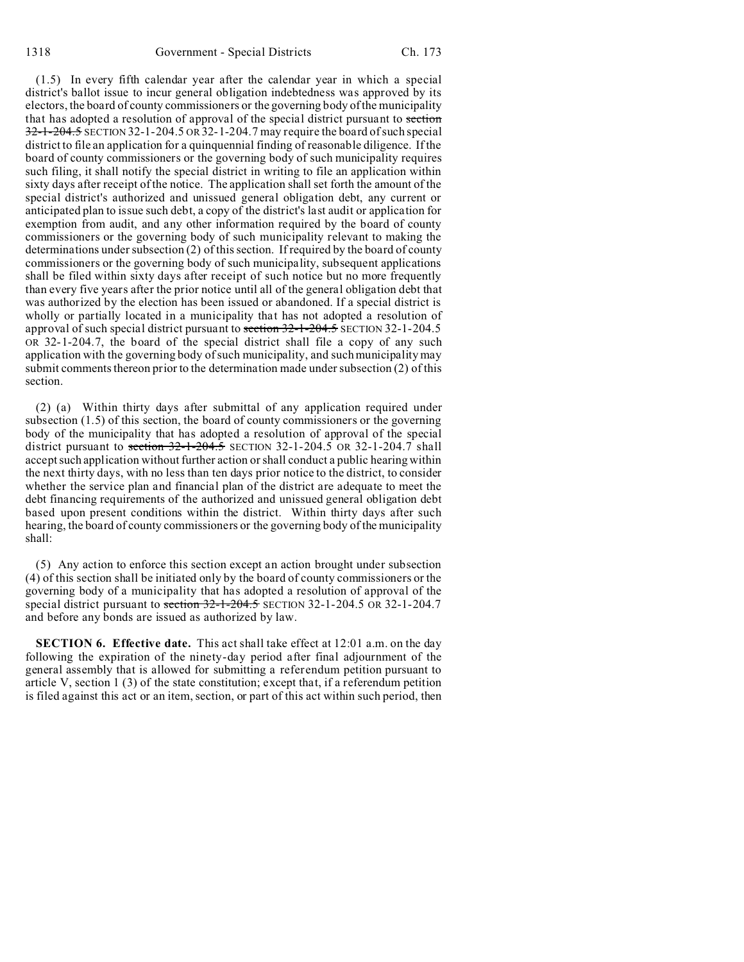(1.5) In every fifth calendar year after the calendar year in which a special district's ballot issue to incur general obligation indebtedness was approved by its electors, the board of county commissioners or the governing body of the municipality that has adopted a resolution of approval of the special district pursuant to section 32-1-204.5 SECTION 32-1-204.5 OR 32-1-204.7 may require the board of such special district to file an application for a quinquennial finding of reasonable diligence. If the board of county commissioners or the governing body of such municipality requires such filing, it shall notify the special district in writing to file an application within sixty days after receipt of the notice. The application shall set forth the amount of the special district's authorized and unissued general obligation debt, any current or anticipated plan to issue such debt, a copy of the district's last audit or application for exemption from audit, and any other information required by the board of county commissioners or the governing body of such municipality relevant to making the determinations under subsection (2) of this section. If required by the board of county commissioners or the governing body of such municipality, subsequent applications shall be filed within sixty days after receipt of such notice but no more frequently than every five years after the prior notice until all of the general obligation debt that was authorized by the election has been issued or abandoned. If a special district is wholly or partially located in a municipality that has not adopted a resolution of approval of such special district pursuant to section 32-1-204.5 SECTION 32-1-204.5 OR 32-1-204.7, the board of the special district shall file a copy of any such application with the governing body of such municipality, and such municipality may submit comments thereon prior to the determination made under subsection (2) of this section.

(2) (a) Within thirty days after submittal of any application required under subsection (1.5) of this section, the board of county commissioners or the governing body of the municipality that has adopted a resolution of approval of the special district pursuant to section  $32-1-204.5$  SECTION 32-1-204.5 OR 32-1-204.7 shall accept such application without further action or shall conduct a public hearing within the next thirty days, with no less than ten days prior notice to the district, to consider whether the service plan and financial plan of the district are adequate to meet the debt financing requirements of the authorized and unissued general obligation debt based upon present conditions within the district. Within thirty days after such hearing, the board of county commissioners or the governing body of the municipality shall:

(5) Any action to enforce this section except an action brought under subsection (4) of this section shall be initiated only by the board of county commissioners or the governing body of a municipality that has adopted a resolution of approval of the special district pursuant to section 32-1-204.5 SECTION 32-1-204.5 OR 32-1-204.7 and before any bonds are issued as authorized by law.

**SECTION 6. Effective date.** This act shall take effect at 12:01 a.m. on the day following the expiration of the ninety-day period after final adjournment of the general assembly that is allowed for submitting a referendum petition pursuant to article V, section 1 (3) of the state constitution; except that, if a referendum petition is filed against this act or an item, section, or part of this act within such period, then